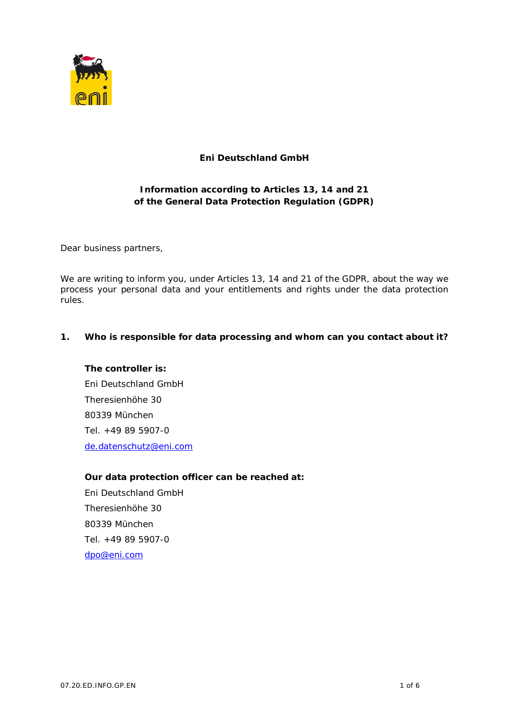

# **Eni Deutschland GmbH**

# **Information according to Articles 13, 14 and 21 of the General Data Protection Regulation (GDPR)**

Dear business partners,

We are writing to inform you, under Articles 13, 14 and 21 of the GDPR, about the way we process your personal data and your entitlements and rights under the data protection rules.

**1. Who is responsible for data processing and whom can you contact about it?**

**The controller is:** Eni Deutschland GmbH Theresienhöhe 30 80339 München Tel. +49 89 5907-0 de.datenschutz@eni.com

**Our data protection officer can be reached at:** Eni Deutschland GmbH Theresienhöhe 30 80339 München Tel. +49 89 5907-0 dpo@eni.com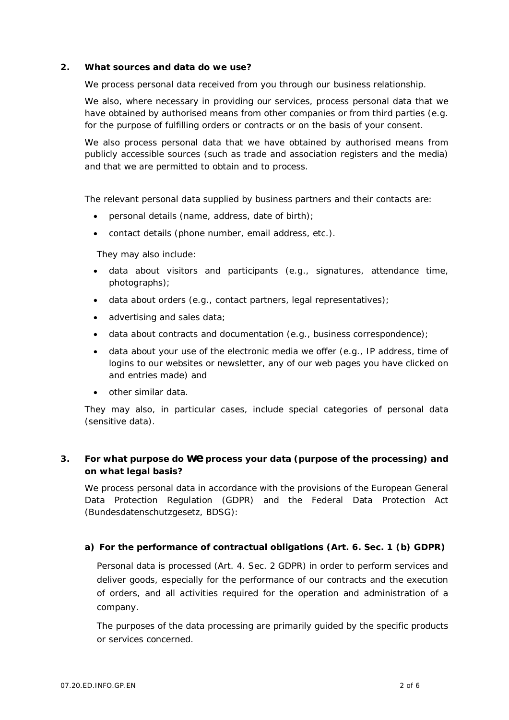**2. What sources and data do we use?**

We process personal data received from you through our business relationship.

We also, where necessary in providing our services, process personal data that we have obtained by authorised means from other companies or from third parties (e.g. for the purpose of fulfilling orders or contracts or on the basis of your consent.

We also process personal data that we have obtained by authorised means from publicly accessible sources (such as trade and association registers and the media) and that we are permitted to obtain and to process.

The relevant personal data supplied by business partners and their contacts are:

- · personal details (name, address, date of birth);
- · contact details (phone number, email address, etc.).

They may also include:

- · data about visitors and participants (e.g., signatures, attendance time, photographs);
- · data about orders (e.g., contact partners, legal representatives);
- · advertising and sales data;
- data about contracts and documentation (e.g., business correspondence);
- · data about your use of the electronic media we offer (e.g., IP address, time of logins to our websites or newsletter, any of our web pages you have clicked on and entries made) and
- · other similar data.

They may also, in particular cases, include special categories of personal data (sensitive data).

**3. For what purpose do we process your data (purpose of the processing) and on what legal basis?**

We process personal data in accordance with the provisions of the European General Data Protection Regulation (GDPR) and the Federal Data Protection Act (Bundesdatenschutzgesetz, BDSG):

**a) For the performance of contractual obligations (Art. 6. Sec. 1 (b) GDPR)**

Personal data is processed (Art. 4. Sec. 2 GDPR) in order to perform services and deliver goods, especially for the performance of our contracts and the execution of orders, and all activities required for the operation and administration of a company.

The purposes of the data processing are primarily guided by the specific products or services concerned.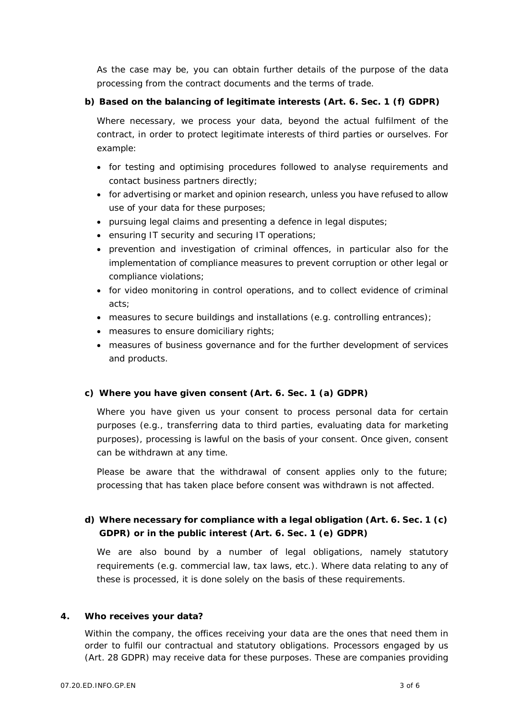As the case may be, you can obtain further details of the purpose of the data processing from the contract documents and the terms of trade.

**b) Based on the balancing of legitimate interests (Art. 6. Sec. 1 (f) GDPR)**

Where necessary, we process your data, beyond the actual fulfilment of the contract, in order to protect legitimate interests of third parties or ourselves. For example:

- · for testing and optimising procedures followed to analyse requirements and contact business partners directly;
- · for advertising or market and opinion research, unless you have refused to allow use of your data for these purposes;
- · pursuing legal claims and presenting a defence in legal disputes;
- ensuring IT security and securing IT operations;
- · prevention and investigation of criminal offences, in particular also for the implementation of compliance measures to prevent corruption or other legal or compliance violations;
- · for video monitoring in control operations, and to collect evidence of criminal acts;
- measures to secure buildings and installations (e.g. controlling entrances);
- · measures to ensure domiciliary rights;
- · measures of business governance and for the further development of services and products.
- **c) Where you have given consent (Art. 6. Sec. 1 (a) GDPR)**

Where you have given us your consent to process personal data for certain purposes (e.g., transferring data to third parties, evaluating data for marketing purposes), processing is lawful on the basis of your consent. Once given, consent can be withdrawn at any time.

Please be aware that the withdrawal of consent applies only to the future; processing that has taken place before consent was withdrawn is not affected.

**d) Where necessary for compliance with a legal obligation (Art. 6. Sec. 1 (c) GDPR) or in the public interest (Art. 6. Sec. 1 (e) GDPR)**

We are also bound by a number of legal obligations, namely statutory requirements (e.g. commercial law, tax laws, etc.). Where data relating to any of these is processed, it is done solely on the basis of these requirements.

**4. Who receives your data?**

Within the company, the offices receiving your data are the ones that need them in order to fulfil our contractual and statutory obligations. Processors engaged by us (Art. 28 GDPR) may receive data for these purposes. These are companies providing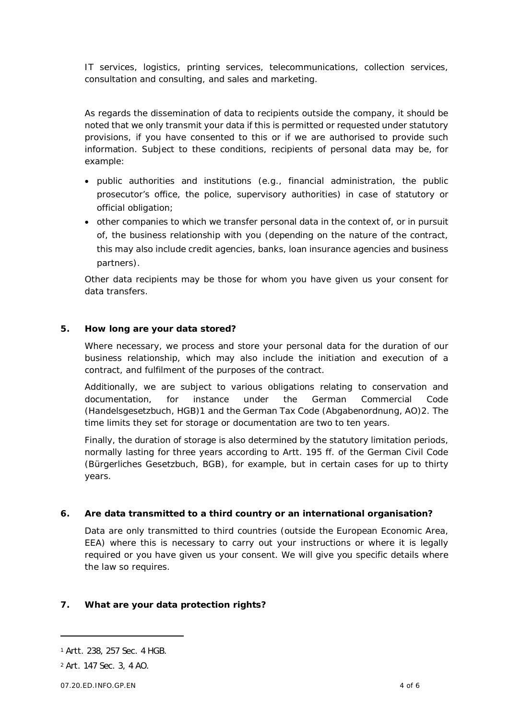IT services, logistics, printing services, telecommunications, collection services, consultation and consulting, and sales and marketing.

As regards the dissemination of data to recipients outside the company, it should be noted that we only transmit your data if this is permitted or requested under statutory provisions, if you have consented to this or if we are authorised to provide such information. Subject to these conditions, recipients of personal data may be, for example:

- · public authorities and institutions (e.g., financial administration, the public prosecutor's office, the police, supervisory authorities) in case of statutory or official obligation;
- · other companies to which we transfer personal data in the context of, or in pursuit of, the business relationship with you (depending on the nature of the contract, this may also include credit agencies, banks, loan insurance agencies and business partners).

Other data recipients may be those for whom you have given us your consent for data transfers.

**5. How long are your data stored?**

Where necessary, we process and store your personal data for the duration of our business relationship, which may also include the initiation and execution of a contract, and fulfilment of the purposes of the contract.

Additionally, we are subject to various obligations relating to conservation and documentation, for instance under the German Commercial Code (Handelsgesetzbuch, HGB)1 and the German Tax Code (Abgabenordnung, AO)2. The time limits they set for storage or documentation are two to ten years.

Finally, the duration of storage is also determined by the statutory limitation periods, normally lasting for three years according to Artt. 195 ff. of the German Civil Code (Bürgerliches Gesetzbuch, BGB), for example, but in certain cases for up to thirty years.

**6. Are data transmitted to a third country or an international organisation?**

Data are only transmitted to third countries (outside the European Economic Area, EEA) where this is necessary to carry out your instructions or where it is legally required or you have given us your consent. We will give you specific details where the law so requires.

**7. What are your data protection rights?**

<sup>1</sup> Artt. 238, 257 Sec. 4 HGB.

<sup>2</sup> Art. 147 Sec. 3, 4 AO.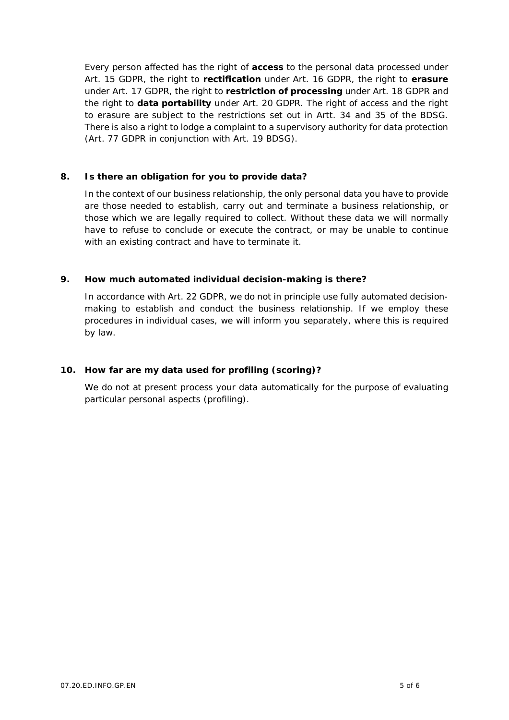Every person affected has the right of **access** to the personal data processed under Art. 15 GDPR, the right to **rectification** under Art. 16 GDPR, the right to **erasure** under Art. 17 GDPR, the right to **restriction of processing** under Art. 18 GDPR and the right to **data portability** under Art. 20 GDPR. The right of access and the right to erasure are subject to the restrictions set out in Artt. 34 and 35 of the BDSG. There is also a right to lodge a complaint to a supervisory authority for data protection (Art. 77 GDPR in conjunction with Art. 19 BDSG).

**8. Is there an obligation for you to provide data?**

In the context of our business relationship, the only personal data you have to provide are those needed to establish, carry out and terminate a business relationship, or those which we are legally required to collect. Without these data we will normally have to refuse to conclude or execute the contract, or may be unable to continue with an existing contract and have to terminate it.

**9. How much automated individual decision-making is there?**

In accordance with Art. 22 GDPR, we do not in principle use fully automated decisionmaking to establish and conduct the business relationship. If we employ these procedures in individual cases, we will inform you separately, where this is required by law.

**10. How far are my data used for profiling (scoring)?**

We do not at present process your data automatically for the purpose of evaluating particular personal aspects (profiling).